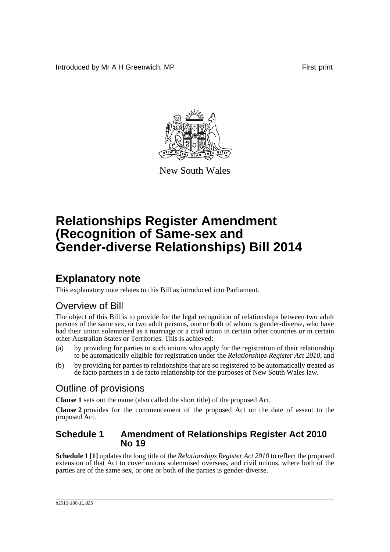Introduced by Mr A H Greenwich, MP **First** print



New South Wales

# **Relationships Register Amendment (Recognition of Same-sex and Gender-diverse Relationships) Bill 2014**

## **Explanatory note**

This explanatory note relates to this Bill as introduced into Parliament.

### Overview of Bill

The object of this Bill is to provide for the legal recognition of relationships between two adult persons of the same sex, or two adult persons, one or both of whom is gender-diverse, who have had their union solemnised as a marriage or a civil union in certain other countries or in certain other Australian States or Territories. This is achieved:

- (a) by providing for parties to such unions who apply for the registration of their relationship to be automatically eligible for registration under the *Relationships Register Act 2010*, and
- (b) by providing for parties to relationships that are so registered to be automatically treated as de facto partners in a de facto relationship for the purposes of New South Wales law.

### Outline of provisions

**Clause 1** sets out the name (also called the short title) of the proposed Act.

**Clause 2** provides for the commencement of the proposed Act on the date of assent to the proposed Act.

#### **Schedule 1 Amendment of Relationships Register Act 2010 No 19**

**Schedule 1 [1]** updates the long title of the *Relationships Register Act 2010* to reflect the proposed extension of that Act to cover unions solemnised overseas, and civil unions, where both of the parties are of the same sex, or one or both of the parties is gender-diverse.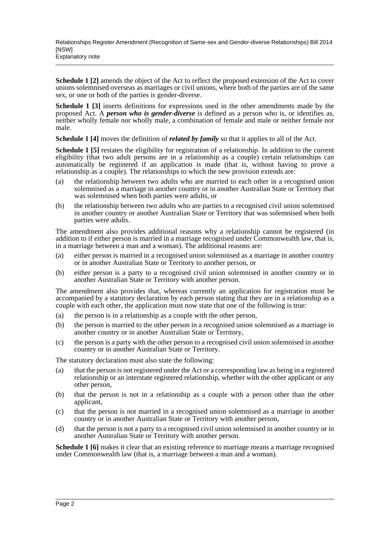**Schedule 1 [2]** amends the object of the Act to reflect the proposed extension of the Act to cover unions solemnised overseas as marriages or civil unions, where both of the parties are of the same sex, or one or both of the parties is gender-diverse.

**Schedule 1 [3]** inserts definitions for expressions used in the other amendments made by the proposed Act. A *person who is gender-diverse* is defined as a person who is, or identifies as, neither wholly female nor wholly male, a combination of female and male or neither female nor male.

**Schedule 1 [4]** moves the definition of *related by family* so that it applies to all of the Act.

**Schedule 1 [5]** restates the eligibility for registration of a relationship. In addition to the current eligibility (that two adult persons are in a relationship as a couple) certain relationships can automatically be registered if an application is made (that is, without having to prove a relationship as a couple). The relationships to which the new provision extends are:

- (a) the relationship between two adults who are married to each other in a recognised union solemnised as a marriage in another country or in another Australian State or Territory that was solemnised when both parties were adults, or
- (b) the relationship between two adults who are parties to a recognised civil union solemnised in another country or another Australian State or Territory that was solemnised when both parties were adults.

The amendment also provides additional reasons why a relationship cannot be registered (in addition to if either person is married in a marriage recognised under Commonwealth law, that is, in a marriage between a man and a woman). The additional reasons are:

- (a) either person is married in a recognised union solemnised as a marriage in another country or in another Australian State or Territory to another person, or
- (b) either person is a party to a recognised civil union solemnised in another country or in another Australian State or Territory with another person.

The amendment also provides that, whereas currently an application for registration must be accompanied by a statutory declaration by each person stating that they are in a relationship as a couple with each other, the application must now state that one of the following is true:

- (a) the person is in a relationship as a couple with the other person,
- (b) the person is married to the other person in a recognised union solemnised as a marriage in another country or in another Australian State or Territory,
- (c) the person is a party with the other person to a recognised civil union solemnised in another country or in another Australian State or Territory.

The statutory declaration must also state the following:

- (a) that the person is not registered under the Act or a corresponding law as being in a registered relationship or an interstate registered relationship, whether with the other applicant or any other person,
- (b) that the person is not in a relationship as a couple with a person other than the other applicant,
- (c) that the person is not married in a recognised union solemnised as a marriage in another country or in another Australian State or Territory with another person,
- (d) that the person is not a party to a recognised civil union solemnised in another country or in another Australian State or Territory with another person.

**Schedule 1 [6]** makes it clear that an existing reference to marriage means a marriage recognised under Commonwealth law (that is, a marriage between a man and a woman).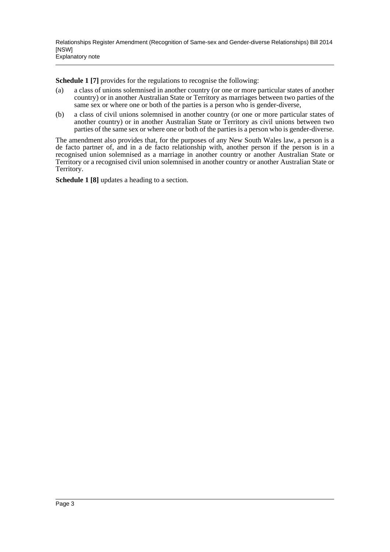**Schedule 1 [7]** provides for the regulations to recognise the following:

- (a) a class of unions solemnised in another country (or one or more particular states of another country) or in another Australian State or Territory as marriages between two parties of the same sex or where one or both of the parties is a person who is gender-diverse,
- (b) a class of civil unions solemnised in another country (or one or more particular states of another country) or in another Australian State or Territory as civil unions between two parties of the same sex or where one or both of the parties is a person who is gender-diverse.

The amendment also provides that, for the purposes of any New South Wales law, a person is a de facto partner of, and in a de facto relationship with, another person if the person is in a recognised union solemnised as a marriage in another country or another Australian State or Territory or a recognised civil union solemnised in another country or another Australian State or Territory.

**Schedule 1 [8]** updates a heading to a section.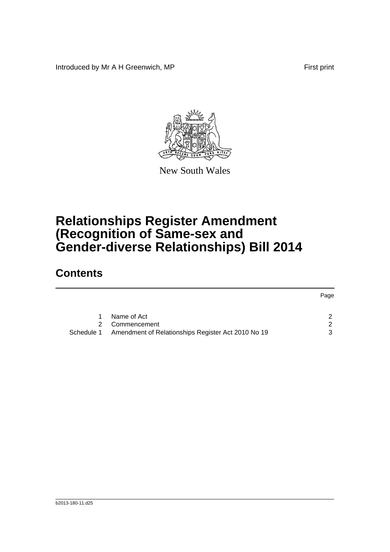Introduced by Mr A H Greenwich, MP First print



New South Wales

## **Relationships Register Amendment (Recognition of Same-sex and Gender-diverse Relationships) Bill 2014**

## **Contents**

|   |                                                               | Page          |
|---|---------------------------------------------------------------|---------------|
| 1 | Name of Act                                                   | $\mathcal{P}$ |
|   | 2 Commencement                                                | 2             |
|   | Schedule 1 Amendment of Relationships Register Act 2010 No 19 | 3             |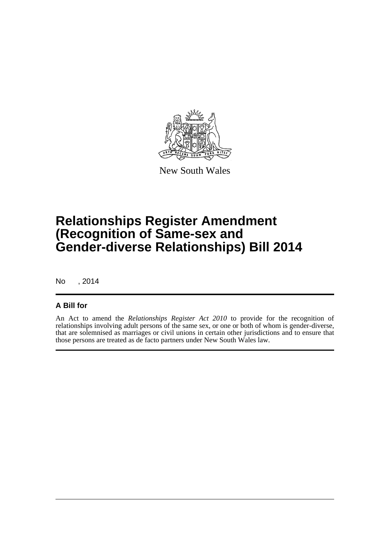

New South Wales

## **Relationships Register Amendment (Recognition of Same-sex and Gender-diverse Relationships) Bill 2014**

No , 2014

#### **A Bill for**

An Act to amend the *Relationships Register Act 2010* to provide for the recognition of relationships involving adult persons of the same sex, or one or both of whom is gender-diverse, that are solemnised as marriages or civil unions in certain other jurisdictions and to ensure that those persons are treated as de facto partners under New South Wales law.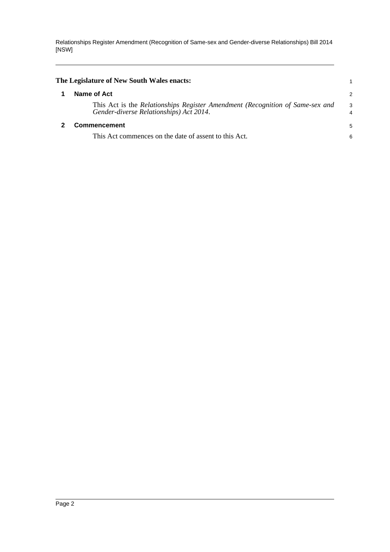<span id="page-5-1"></span><span id="page-5-0"></span>

| The Legislature of New South Wales enacts:                                                                               |        |
|--------------------------------------------------------------------------------------------------------------------------|--------|
| Name of Act                                                                                                              | 2      |
| This Act is the Relationships Register Amendment (Recognition of Same-sex and<br>Gender-diverse Relationships) Act 2014. | 3<br>4 |
| Commencement                                                                                                             | 5      |
| This Act commences on the date of assent to this Act.                                                                    | 6      |
|                                                                                                                          |        |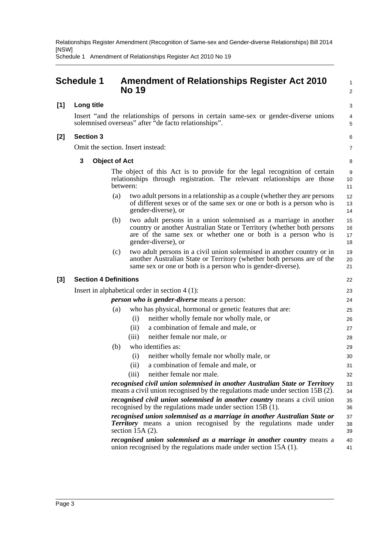<span id="page-6-0"></span>

|       | <b>Schedule 1</b>                                                                                                                                   | <b>Amendment of Relationships Register Act 2010</b><br><b>No 19</b>                                                                                                                                                                       |                      |  |  |  |  |  |
|-------|-----------------------------------------------------------------------------------------------------------------------------------------------------|-------------------------------------------------------------------------------------------------------------------------------------------------------------------------------------------------------------------------------------------|----------------------|--|--|--|--|--|
| $[1]$ | Long title                                                                                                                                          |                                                                                                                                                                                                                                           | 3                    |  |  |  |  |  |
|       | Insert "and the relationships of persons in certain same-sex or gender-diverse unions<br>solemnised overseas" after "de facto relationships".       |                                                                                                                                                                                                                                           |                      |  |  |  |  |  |
| $[2]$ | <b>Section 3</b>                                                                                                                                    |                                                                                                                                                                                                                                           |                      |  |  |  |  |  |
|       |                                                                                                                                                     | Omit the section. Insert instead:                                                                                                                                                                                                         | 7                    |  |  |  |  |  |
|       | 3                                                                                                                                                   | <b>Object of Act</b>                                                                                                                                                                                                                      | 8                    |  |  |  |  |  |
|       |                                                                                                                                                     | The object of this Act is to provide for the legal recognition of certain<br>relationships through registration. The relevant relationships are those<br>between:                                                                         | 9<br>10<br>11        |  |  |  |  |  |
|       |                                                                                                                                                     | two adult persons in a relationship as a couple (whether they are persons<br>(a)<br>of different sexes or of the same sex or one or both is a person who is<br>gender-diverse), or                                                        | 12<br>13<br>14       |  |  |  |  |  |
|       |                                                                                                                                                     | two adult persons in a union solemnised as a marriage in another<br>(b)<br>country or another Australian State or Territory (whether both persons<br>are of the same sex or whether one or both is a person who is<br>gender-diverse), or | 15<br>16<br>17<br>18 |  |  |  |  |  |
|       |                                                                                                                                                     | two adult persons in a civil union solemnised in another country or in<br>(c)<br>another Australian State or Territory (whether both persons are of the<br>same sex or one or both is a person who is gender-diverse).                    | 19<br>20<br>21       |  |  |  |  |  |
| $[3]$ | <b>Section 4 Definitions</b>                                                                                                                        |                                                                                                                                                                                                                                           | 22                   |  |  |  |  |  |
|       |                                                                                                                                                     | Insert in alphabetical order in section $4(1)$ :                                                                                                                                                                                          | 23                   |  |  |  |  |  |
|       | <i>person who is gender-diverse</i> means a person:                                                                                                 |                                                                                                                                                                                                                                           |                      |  |  |  |  |  |
|       |                                                                                                                                                     | who has physical, hormonal or genetic features that are:<br>(a)                                                                                                                                                                           | 25                   |  |  |  |  |  |
|       |                                                                                                                                                     | neither wholly female nor wholly male, or<br>(i)                                                                                                                                                                                          | 26                   |  |  |  |  |  |
|       |                                                                                                                                                     | a combination of female and male, or<br>(ii)                                                                                                                                                                                              | 27                   |  |  |  |  |  |
|       |                                                                                                                                                     | neither female nor male, or<br>(iii)                                                                                                                                                                                                      | 28                   |  |  |  |  |  |
|       |                                                                                                                                                     | who identifies as:<br>(b)                                                                                                                                                                                                                 | 29                   |  |  |  |  |  |
|       |                                                                                                                                                     | neither wholly female nor wholly male, or<br>(i)                                                                                                                                                                                          | 30                   |  |  |  |  |  |
|       |                                                                                                                                                     | a combination of female and male, or<br>(ii)                                                                                                                                                                                              | 31                   |  |  |  |  |  |
|       |                                                                                                                                                     | neither female nor male.<br>(iii)                                                                                                                                                                                                         | 32                   |  |  |  |  |  |
|       |                                                                                                                                                     | recognised civil union solemnised in another Australian State or Territory<br>means a civil union recognised by the regulations made under section 15B (2).                                                                               | 33<br>34             |  |  |  |  |  |
|       | recognised civil union solemnised in another country means a civil union<br>recognised by the regulations made under section 15B (1).               |                                                                                                                                                                                                                                           |                      |  |  |  |  |  |
|       |                                                                                                                                                     | recognised union solemnised as a marriage in another Australian State or<br><b>Territory</b> means a union recognised by the regulations made under<br>section $15A(2)$ .                                                                 | 37<br>38<br>39       |  |  |  |  |  |
|       | recognised union solemnised as a marriage in another country means a<br>40<br>union recognised by the regulations made under section 15A (1).<br>41 |                                                                                                                                                                                                                                           |                      |  |  |  |  |  |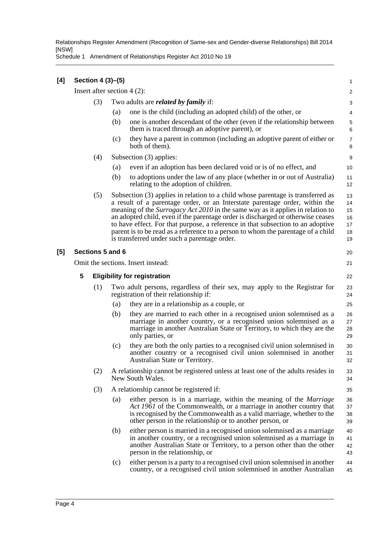| [4] |                                    |                                     | Section 4 (3)-(5)                                                                                                                                                                                                                                                                                                                                                                                                                                                                                                                                                 |                                                                                                                                                                                                                                                                                        | 1                                      |  |  |  |
|-----|------------------------------------|-------------------------------------|-------------------------------------------------------------------------------------------------------------------------------------------------------------------------------------------------------------------------------------------------------------------------------------------------------------------------------------------------------------------------------------------------------------------------------------------------------------------------------------------------------------------------------------------------------------------|----------------------------------------------------------------------------------------------------------------------------------------------------------------------------------------------------------------------------------------------------------------------------------------|----------------------------------------|--|--|--|
|     | Insert after section $4(2)$ :      |                                     |                                                                                                                                                                                                                                                                                                                                                                                                                                                                                                                                                                   |                                                                                                                                                                                                                                                                                        |                                        |  |  |  |
|     |                                    | (3)                                 |                                                                                                                                                                                                                                                                                                                                                                                                                                                                                                                                                                   | Two adults are <i>related by family</i> if:                                                                                                                                                                                                                                            |                                        |  |  |  |
|     |                                    |                                     | (a)                                                                                                                                                                                                                                                                                                                                                                                                                                                                                                                                                               | one is the child (including an adopted child) of the other, or                                                                                                                                                                                                                         | 4                                      |  |  |  |
|     |                                    |                                     | (b)                                                                                                                                                                                                                                                                                                                                                                                                                                                                                                                                                               | one is another descendant of the other (even if the relationship between<br>them is traced through an adoptive parent), or                                                                                                                                                             | 5<br>6                                 |  |  |  |
|     |                                    |                                     | (c)                                                                                                                                                                                                                                                                                                                                                                                                                                                                                                                                                               | they have a parent in common (including an adoptive parent of either or<br>both of them).                                                                                                                                                                                              | 7<br>8                                 |  |  |  |
|     |                                    | (4)                                 |                                                                                                                                                                                                                                                                                                                                                                                                                                                                                                                                                                   | Subsection (3) applies:                                                                                                                                                                                                                                                                | 9                                      |  |  |  |
|     |                                    |                                     | (a)                                                                                                                                                                                                                                                                                                                                                                                                                                                                                                                                                               | even if an adoption has been declared void or is of no effect, and                                                                                                                                                                                                                     | 10                                     |  |  |  |
|     |                                    |                                     | (b)                                                                                                                                                                                                                                                                                                                                                                                                                                                                                                                                                               | to adoptions under the law of any place (whether in or out of Australia)<br>relating to the adoption of children.                                                                                                                                                                      | 11<br>12                               |  |  |  |
|     |                                    | (5)                                 | Subsection (3) applies in relation to a child whose parentage is transferred as<br>a result of a parentage order, or an Interstate parentage order, within the<br>meaning of the <i>Surrogacy Act 2010</i> in the same way as it applies in relation to<br>an adopted child, even if the parentage order is discharged or otherwise ceases<br>to have effect. For that purpose, a reference in that subsection to an adoptive<br>parent is to be read as a reference to a person to whom the parentage of a child<br>is transferred under such a parentage order. |                                                                                                                                                                                                                                                                                        | 13<br>14<br>15<br>16<br>17<br>18<br>19 |  |  |  |
| [5] |                                    |                                     | Sections 5 and 6                                                                                                                                                                                                                                                                                                                                                                                                                                                                                                                                                  |                                                                                                                                                                                                                                                                                        | 20                                     |  |  |  |
|     | Omit the sections. Insert instead: |                                     |                                                                                                                                                                                                                                                                                                                                                                                                                                                                                                                                                                   |                                                                                                                                                                                                                                                                                        |                                        |  |  |  |
|     | 5                                  | <b>Eligibility for registration</b> |                                                                                                                                                                                                                                                                                                                                                                                                                                                                                                                                                                   |                                                                                                                                                                                                                                                                                        |                                        |  |  |  |
|     |                                    | (1)                                 | Two adult persons, regardless of their sex, may apply to the Registrar for<br>registration of their relationship if:                                                                                                                                                                                                                                                                                                                                                                                                                                              |                                                                                                                                                                                                                                                                                        |                                        |  |  |  |
|     |                                    |                                     | (a)                                                                                                                                                                                                                                                                                                                                                                                                                                                                                                                                                               | they are in a relationship as a couple, or                                                                                                                                                                                                                                             | 25                                     |  |  |  |
|     |                                    |                                     | (b)                                                                                                                                                                                                                                                                                                                                                                                                                                                                                                                                                               | they are married to each other in a recognised union solemnised as a<br>marriage in another country, or a recognised union solemnised as a<br>marriage in another Australian State or Territory, to which they are the<br>only parties, or                                             | 26<br>27<br>28<br>29                   |  |  |  |
|     |                                    |                                     | (c)                                                                                                                                                                                                                                                                                                                                                                                                                                                                                                                                                               | they are both the only parties to a recognised civil union solemnised in<br>another country or a recognised civil union solemnised in another<br>Australian State or Territory.                                                                                                        | 30<br>31<br>32                         |  |  |  |
|     |                                    | (2)                                 |                                                                                                                                                                                                                                                                                                                                                                                                                                                                                                                                                                   | A relationship cannot be registered unless at least one of the adults resides in<br>New South Wales.                                                                                                                                                                                   | 33<br>34                               |  |  |  |
|     |                                    | (3)                                 | A relationship cannot be registered if:                                                                                                                                                                                                                                                                                                                                                                                                                                                                                                                           |                                                                                                                                                                                                                                                                                        |                                        |  |  |  |
|     |                                    |                                     | (a)                                                                                                                                                                                                                                                                                                                                                                                                                                                                                                                                                               | either person is in a marriage, within the meaning of the <i>Marriage</i><br>Act 1961 of the Commonwealth, or a marriage in another country that<br>is recognised by the Commonwealth as a valid marriage, whether to the<br>other person in the relationship or to another person, or | 36<br>37<br>38<br>39                   |  |  |  |
|     |                                    |                                     | (b)                                                                                                                                                                                                                                                                                                                                                                                                                                                                                                                                                               | either person is married in a recognised union solemnised as a marriage<br>in another country, or a recognised union solemnised as a marriage in<br>another Australian State or Territory, to a person other than the other<br>person in the relationship, or                          | 40<br>41<br>42<br>43                   |  |  |  |
|     |                                    |                                     | (c)                                                                                                                                                                                                                                                                                                                                                                                                                                                                                                                                                               | either person is a party to a recognised civil union solemnised in another<br>country, or a recognised civil union solemnised in another Australian                                                                                                                                    | 44<br>45                               |  |  |  |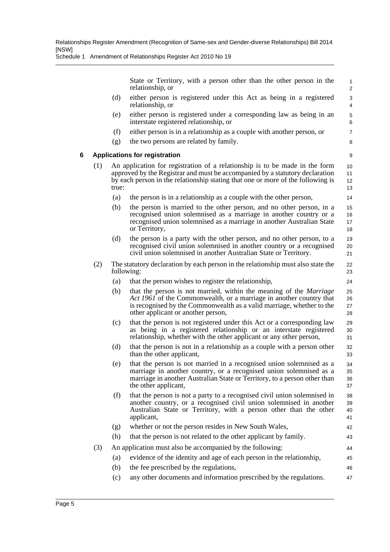Schedule 1 Amendment of Relationships Register Act 2010 No 19

State or Territory, with a person other than the other person in the relationship, or

42 43 44

- (d) either person is registered under this Act as being in a registered relationship, or
- (e) either person is registered under a corresponding law as being in an interstate registered relationship, or
- (f) either person is in a relationship as a couple with another person, or
- (g) the two persons are related by family.

#### **6 Applications for registration**

- (1) An application for registration of a relationship is to be made in the form approved by the Registrar and must be accompanied by a statutory declaration by each person in the relationship stating that one or more of the following is true:
	- (a) the person is in a relationship as a couple with the other person,
	- (b) the person is married to the other person, and no other person, in a recognised union solemnised as a marriage in another country or a recognised union solemnised as a marriage in another Australian State or Territory,
	- (d) the person is a party with the other person, and no other person, to a recognised civil union solemnised in another country or a recognised civil union solemnised in another Australian State or Territory.
- (2) The statutory declaration by each person in the relationship must also state the following:
	- (a) that the person wishes to register the relationship,
	- (b) that the person is not married, within the meaning of the *Marriage Act 1961* of the Commonwealth, or a marriage in another country that is recognised by the Commonwealth as a valid marriage, whether to the other applicant or another person, 25 26 27 28
	- (c) that the person is not registered under this Act or a corresponding law as being in a registered relationship or an interstate registered relationship, whether with the other applicant or any other person,
	- (d) that the person is not in a relationship as a couple with a person other than the other applicant,
	- (e) that the person is not married in a recognised union solemnised as a marriage in another country, or a recognised union solemnised as a marriage in another Australian State or Territory, to a person other than the other applicant,
	- (f) that the person is not a party to a recognised civil union solemnised in another country, or a recognised civil union solemnised in another Australian State or Territory, with a person other than the other applicant, 38 39 40 41
	- (g) whether or not the person resides in New South Wales,
	- (h) that the person is not related to the other applicant by family.
- (3) An application must also be accompanied by the following:
	- (a) evidence of the identity and age of each person in the relationship, (b) the fee prescribed by the regulations, 45 46
	- (c) any other documents and information prescribed by the regulations. 47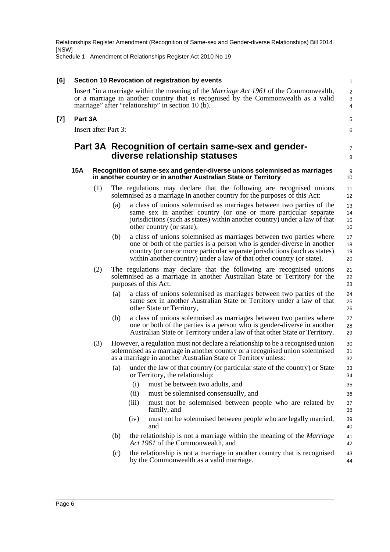| [6] |                                  | Section 10 Revocation of registration by events |                                                                                                                                             |                                                                                                                                                                                                                                                                                                       |                      |  |  |  |
|-----|----------------------------------|-------------------------------------------------|---------------------------------------------------------------------------------------------------------------------------------------------|-------------------------------------------------------------------------------------------------------------------------------------------------------------------------------------------------------------------------------------------------------------------------------------------------------|----------------------|--|--|--|
|     |                                  |                                                 |                                                                                                                                             | Insert "in a marriage within the meaning of the <i>Marriage Act 1961</i> of the Commonwealth,<br>or a marriage in another country that is recognised by the Commonwealth as a valid<br>marriage" after "relationship" in section 10 (b).                                                              | $\sqrt{2}$<br>3<br>4 |  |  |  |
| [7] | Part 3A                          |                                                 |                                                                                                                                             |                                                                                                                                                                                                                                                                                                       | 5                    |  |  |  |
|     | <b>Insert after Part 3:</b><br>6 |                                                 |                                                                                                                                             |                                                                                                                                                                                                                                                                                                       |                      |  |  |  |
|     |                                  |                                                 | Part 3A Recognition of certain same-sex and gender-<br>diverse relationship statuses                                                        |                                                                                                                                                                                                                                                                                                       | 7<br>8               |  |  |  |
|     | <b>15A</b>                       |                                                 | Recognition of same-sex and gender-diverse unions solemnised as marriages<br>in another country or in another Australian State or Territory |                                                                                                                                                                                                                                                                                                       |                      |  |  |  |
|     |                                  | (1)                                             |                                                                                                                                             | The regulations may declare that the following are recognised unions<br>solemnised as a marriage in another country for the purposes of this Act:                                                                                                                                                     | 11<br>12             |  |  |  |
|     |                                  |                                                 | (a)                                                                                                                                         | a class of unions solemnised as marriages between two parties of the<br>same sex in another country (or one or more particular separate<br>jurisdictions (such as states) within another country) under a law of that<br>other country (or state),                                                    | 13<br>14<br>15<br>16 |  |  |  |
|     |                                  |                                                 | (b)                                                                                                                                         | a class of unions solemnised as marriages between two parties where<br>one or both of the parties is a person who is gender-diverse in another<br>country (or one or more particular separate jurisdictions (such as states)<br>within another country) under a law of that other country (or state). | 17<br>18<br>19<br>20 |  |  |  |
|     |                                  | (2)                                             |                                                                                                                                             | The regulations may declare that the following are recognised unions<br>solemnised as a marriage in another Australian State or Territory for the<br>purposes of this Act:                                                                                                                            | 21<br>22<br>23       |  |  |  |
|     |                                  |                                                 | (a)                                                                                                                                         | a class of unions solemnised as marriages between two parties of the<br>same sex in another Australian State or Territory under a law of that<br>other State or Territory,                                                                                                                            | 24<br>25<br>26       |  |  |  |
|     |                                  |                                                 | (b)                                                                                                                                         | a class of unions solemnised as marriages between two parties where<br>one or both of the parties is a person who is gender-diverse in another<br>Australian State or Territory under a law of that other State or Territory.                                                                         | 27<br>28<br>29       |  |  |  |
|     |                                  | (3)                                             |                                                                                                                                             | However, a regulation must not declare a relationship to be a recognised union<br>solemnised as a marriage in another country or a recognised union solemnised<br>as a marriage in another Australian State or Territory unless:                                                                      | 30<br>31<br>32       |  |  |  |
|     |                                  |                                                 | (a)                                                                                                                                         | under the law of that country (or particular state of the country) or State<br>or Territory, the relationship:                                                                                                                                                                                        | 33<br>34             |  |  |  |
|     |                                  |                                                 |                                                                                                                                             | must be between two adults, and<br>(i)                                                                                                                                                                                                                                                                | 35                   |  |  |  |
|     |                                  |                                                 |                                                                                                                                             | must be solemnised consensually, and<br>(ii)                                                                                                                                                                                                                                                          | 36                   |  |  |  |
|     |                                  |                                                 |                                                                                                                                             | must not be solemnised between people who are related by<br>(iii)<br>family, and                                                                                                                                                                                                                      | 37<br>38             |  |  |  |
|     |                                  |                                                 |                                                                                                                                             | must not be solemnised between people who are legally married,<br>(iv)<br>and                                                                                                                                                                                                                         | 39<br>40             |  |  |  |
|     |                                  |                                                 | (b)                                                                                                                                         | the relationship is not a marriage within the meaning of the <i>Marriage</i><br>Act 1961 of the Commonwealth, and                                                                                                                                                                                     | 41<br>42             |  |  |  |
|     |                                  |                                                 | (c)                                                                                                                                         | the relationship is not a marriage in another country that is recognised<br>by the Commonwealth as a valid marriage.                                                                                                                                                                                  | 43<br>44             |  |  |  |
|     |                                  |                                                 |                                                                                                                                             |                                                                                                                                                                                                                                                                                                       |                      |  |  |  |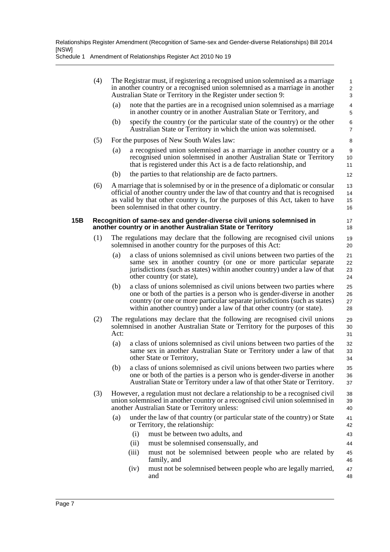|     | (4)                                                                                                                                  |                                                                                                                                                                                                                                                                                                 | The Registrar must, if registering a recognised union solemnised as a marriage<br>in another country or a recognised union solemnised as a marriage in another<br>Australian State or Territory in the Register under section 9: |                                                                                                                                                                                                                                                                                                          |                      |  |  |
|-----|--------------------------------------------------------------------------------------------------------------------------------------|-------------------------------------------------------------------------------------------------------------------------------------------------------------------------------------------------------------------------------------------------------------------------------------------------|----------------------------------------------------------------------------------------------------------------------------------------------------------------------------------------------------------------------------------|----------------------------------------------------------------------------------------------------------------------------------------------------------------------------------------------------------------------------------------------------------------------------------------------------------|----------------------|--|--|
|     |                                                                                                                                      | (a)                                                                                                                                                                                                                                                                                             |                                                                                                                                                                                                                                  | note that the parties are in a recognised union solemnised as a marriage<br>in another country or in another Australian State or Territory, and                                                                                                                                                          | $\overline{4}$<br>5  |  |  |
|     |                                                                                                                                      | (b)                                                                                                                                                                                                                                                                                             |                                                                                                                                                                                                                                  | specify the country (or the particular state of the country) or the other<br>Australian State or Territory in which the union was solemnised.                                                                                                                                                            | 6<br>$\overline{7}$  |  |  |
|     | (5)                                                                                                                                  |                                                                                                                                                                                                                                                                                                 |                                                                                                                                                                                                                                  | For the purposes of New South Wales law:                                                                                                                                                                                                                                                                 | 8                    |  |  |
|     |                                                                                                                                      | (a)                                                                                                                                                                                                                                                                                             |                                                                                                                                                                                                                                  | a recognised union solemnised as a marriage in another country or a<br>recognised union solemnised in another Australian State or Territory<br>that is registered under this Act is a de facto relationship, and                                                                                         | 9<br>10<br>11        |  |  |
|     |                                                                                                                                      | (b)                                                                                                                                                                                                                                                                                             |                                                                                                                                                                                                                                  | the parties to that relationship are de facto partners.                                                                                                                                                                                                                                                  | 12                   |  |  |
|     | (6)                                                                                                                                  | A marriage that is solemnised by or in the presence of a diplomatic or consular<br>official of another country under the law of that country and that is recognised<br>as valid by that other country is, for the purposes of this Act, taken to have<br>been solemnised in that other country. |                                                                                                                                                                                                                                  |                                                                                                                                                                                                                                                                                                          |                      |  |  |
| 15B | Recognition of same-sex and gender-diverse civil unions solemnised in<br>another country or in another Australian State or Territory |                                                                                                                                                                                                                                                                                                 |                                                                                                                                                                                                                                  |                                                                                                                                                                                                                                                                                                          |                      |  |  |
|     | (1)                                                                                                                                  | The regulations may declare that the following are recognised civil unions<br>solemnised in another country for the purposes of this Act:                                                                                                                                                       |                                                                                                                                                                                                                                  |                                                                                                                                                                                                                                                                                                          |                      |  |  |
|     |                                                                                                                                      | (a)                                                                                                                                                                                                                                                                                             |                                                                                                                                                                                                                                  | a class of unions solemnised as civil unions between two parties of the<br>same sex in another country (or one or more particular separate<br>jurisdictions (such as states) within another country) under a law of that<br>other country (or state),                                                    | 21<br>22<br>23<br>24 |  |  |
|     |                                                                                                                                      | (b)                                                                                                                                                                                                                                                                                             |                                                                                                                                                                                                                                  | a class of unions solemnised as civil unions between two parties where<br>one or both of the parties is a person who is gender-diverse in another<br>country (or one or more particular separate jurisdictions (such as states)<br>within another country) under a law of that other country (or state). | 25<br>26<br>27<br>28 |  |  |
|     | (2)                                                                                                                                  | The regulations may declare that the following are recognised civil unions<br>solemnised in another Australian State or Territory for the purposes of this<br>Act:                                                                                                                              |                                                                                                                                                                                                                                  |                                                                                                                                                                                                                                                                                                          |                      |  |  |
|     |                                                                                                                                      | (a)                                                                                                                                                                                                                                                                                             |                                                                                                                                                                                                                                  | a class of unions solemnised as civil unions between two parties of the<br>same sex in another Australian State or Territory under a law of that<br>other State or Territory,                                                                                                                            | 32<br>33<br>34       |  |  |
|     |                                                                                                                                      | (b)                                                                                                                                                                                                                                                                                             |                                                                                                                                                                                                                                  | a class of unions solemnised as civil unions between two parties where<br>one or both of the parties is a person who is gender-diverse in another<br>Australian State or Territory under a law of that other State or Territory.                                                                         | 35<br>36<br>37       |  |  |
|     | (3)                                                                                                                                  | However, a regulation must not declare a relationship to be a recognised civil<br>union solemnised in another country or a recognised civil union solemnised in<br>another Australian State or Territory unless:                                                                                |                                                                                                                                                                                                                                  |                                                                                                                                                                                                                                                                                                          |                      |  |  |
|     |                                                                                                                                      | (a)                                                                                                                                                                                                                                                                                             |                                                                                                                                                                                                                                  | under the law of that country (or particular state of the country) or State<br>or Territory, the relationship:                                                                                                                                                                                           | 41<br>42             |  |  |
|     |                                                                                                                                      |                                                                                                                                                                                                                                                                                                 | (i)                                                                                                                                                                                                                              | must be between two adults, and                                                                                                                                                                                                                                                                          | 43                   |  |  |
|     |                                                                                                                                      |                                                                                                                                                                                                                                                                                                 | (ii)                                                                                                                                                                                                                             | must be solemnised consensually, and                                                                                                                                                                                                                                                                     | 44                   |  |  |
|     |                                                                                                                                      |                                                                                                                                                                                                                                                                                                 | (iii)                                                                                                                                                                                                                            | must not be solemnised between people who are related by<br>family, and                                                                                                                                                                                                                                  | 45<br>46             |  |  |
|     |                                                                                                                                      |                                                                                                                                                                                                                                                                                                 | (iv)                                                                                                                                                                                                                             | must not be solemnised between people who are legally married,<br>and                                                                                                                                                                                                                                    | 47<br>48             |  |  |